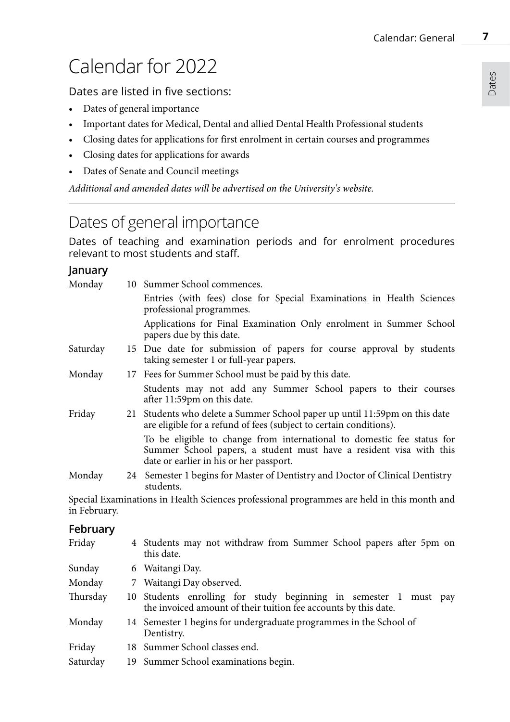# Calendar for 2022

Dates are listed in five sections:

- Dates of general importance
- Important dates for Medical, Dental and allied Dental Health Professional students
- Closing dates for applications for first enrolment in certain courses and programmes
- Closing dates for applications for awards
- Dates of Senate and Council meetings

*Additional and amended dates will be advertised on the University's website.* 

### Dates of general importance

Dates of teaching and examination periods and for enrolment procedures relevant to most students and staff.

### **January**

| Monday   | 10 Summer School commences.                                                                                                                                                              |
|----------|------------------------------------------------------------------------------------------------------------------------------------------------------------------------------------------|
|          | Entries (with fees) close for Special Examinations in Health Sciences<br>professional programmes.                                                                                        |
|          | Applications for Final Examination Only enrolment in Summer School<br>papers due by this date.                                                                                           |
| Saturday | 15 Due date for submission of papers for course approval by students<br>taking semester 1 or full-year papers.                                                                           |
| Monday   | 17 Fees for Summer School must be paid by this date.                                                                                                                                     |
|          | Students may not add any Summer School papers to their courses<br>after 11:59pm on this date.                                                                                            |
| Friday   | 21 Students who delete a Summer School paper up until 11:59pm on this date<br>are eligible for a refund of fees (subject to certain conditions).                                         |
|          | To be eligible to change from international to domestic fee status for<br>Summer School papers, a student must have a resident visa with this<br>date or earlier in his or her passport. |
| Monday   | 24 Semester 1 begins for Master of Dentistry and Doctor of Clinical Dentistry<br>students.                                                                                               |
|          |                                                                                                                                                                                          |

Special Examinations in Health Sciences professional programmes are held in this month and in February.

### **February**

| Friday   | 4 Students may not withdraw from Summer School papers after 5pm on<br>this date.                                                    |
|----------|-------------------------------------------------------------------------------------------------------------------------------------|
| Sunday   | 6 Waitangi Day.                                                                                                                     |
| Monday   | 7 Waitangi Day observed.                                                                                                            |
| Thursday | 10 Students enrolling for study beginning in semester 1 must pay<br>the invoiced amount of their tuition fee accounts by this date. |
| Monday   | 14 Semester 1 begins for undergraduate programmes in the School of<br>Dentistry.                                                    |
| Friday   | 18 Summer School classes end.                                                                                                       |
| Saturday | 19 Summer School examinations begin.                                                                                                |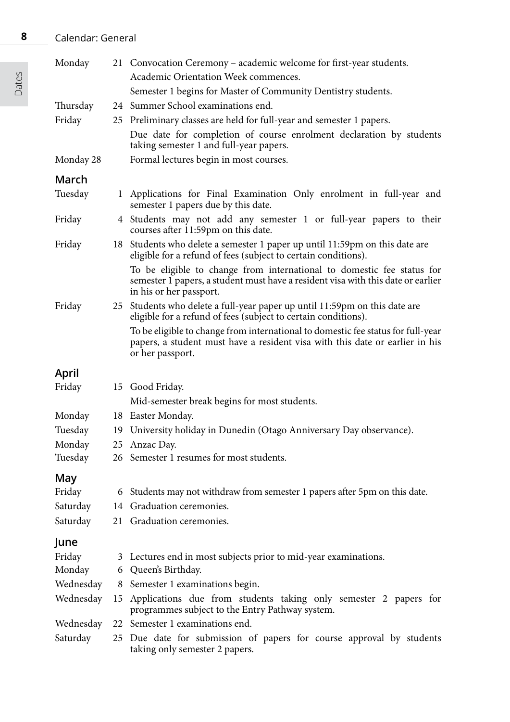### Calendar: General

| Monday    |    | 21 Convocation Ceremony – academic welcome for first-year students.                                                                                                                   |
|-----------|----|---------------------------------------------------------------------------------------------------------------------------------------------------------------------------------------|
|           |    | Academic Orientation Week commences.                                                                                                                                                  |
|           |    | Semester 1 begins for Master of Community Dentistry students.                                                                                                                         |
| Thursday  |    | 24 Summer School examinations end.                                                                                                                                                    |
| Friday    |    | 25 Preliminary classes are held for full-year and semester 1 papers.                                                                                                                  |
|           |    | Due date for completion of course enrolment declaration by students<br>taking semester 1 and full-year papers.                                                                        |
| Monday 28 |    | Formal lectures begin in most courses.                                                                                                                                                |
| March     |    |                                                                                                                                                                                       |
| Tuesday   |    | 1 Applications for Final Examination Only enrolment in full-year and<br>semester 1 papers due by this date.                                                                           |
| Friday    |    | 4 Students may not add any semester 1 or full-year papers to their<br>courses after 11:59pm on this date.                                                                             |
| Friday    |    | 18 Students who delete a semester 1 paper up until 11:59pm on this date are<br>eligible for a refund of fees (subject to certain conditions).                                         |
|           |    | To be eligible to change from international to domestic fee status for<br>semester 1 papers, a student must have a resident visa with this date or earlier<br>in his or her passport. |
| Friday    |    | 25 Students who delete a full-year paper up until 11:59pm on this date are<br>eligible for a refund of fees (subject to certain conditions).                                          |
|           |    | To be eligible to change from international to domestic fee status for full-year<br>papers, a student must have a resident visa with this date or earlier in his<br>or her passport.  |
| April     |    |                                                                                                                                                                                       |
| Friday    |    | 15 Good Friday.                                                                                                                                                                       |
|           |    | Mid-semester break begins for most students.                                                                                                                                          |
| Monday    |    | 18 Easter Monday.                                                                                                                                                                     |
| Tuesday   |    | 19 University holiday in Dunedin (Otago Anniversary Day observance).                                                                                                                  |
| Monday    |    | 25 Anzac Day.                                                                                                                                                                         |
| Tuesday   |    | 26 Semester 1 resumes for most students.                                                                                                                                              |
| May       |    |                                                                                                                                                                                       |
| Friday    |    | 6 Students may not withdraw from semester 1 papers after 5pm on this date.                                                                                                            |
| Saturday  |    | 14 Graduation ceremonies.                                                                                                                                                             |
| Saturday  | 21 | Graduation ceremonies.                                                                                                                                                                |
| June      |    |                                                                                                                                                                                       |
| Friday    |    | 3 Lectures end in most subjects prior to mid-year examinations.                                                                                                                       |
| Monday    |    | 6 Queen's Birthday.                                                                                                                                                                   |
| Wednesday |    | 8 Semester 1 examinations begin.                                                                                                                                                      |
| Wednesday | 15 | Applications due from students taking only semester 2 papers for<br>programmes subject to the Entry Pathway system.                                                                   |
| Wednesday |    | 22 Semester 1 examinations end.                                                                                                                                                       |
| Saturday  | 25 | Due date for submission of papers for course approval by students<br>taking only semester 2 papers.                                                                                   |

Dates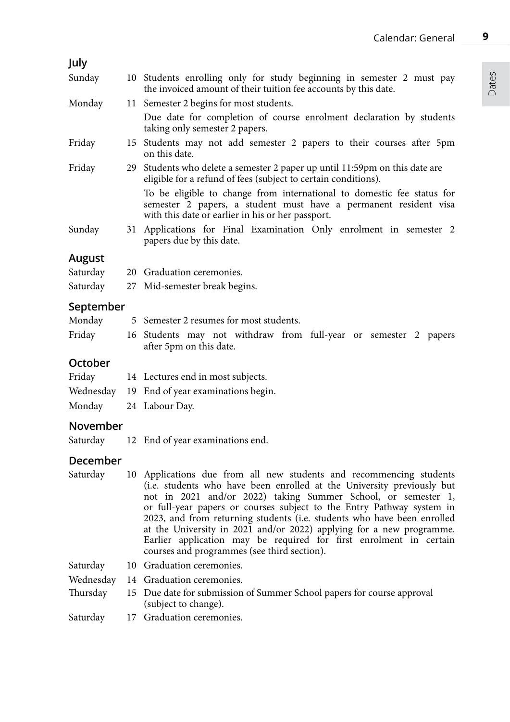# Dates

**9**

### **July**

| Sunday |  |  |  | 10 Students enrolling only for study beginning in semester 2 must pay |  |  |  |
|--------|--|--|--|-----------------------------------------------------------------------|--|--|--|
|        |  |  |  | the invoiced amount of their tuition fee accounts by this date.       |  |  |  |

- Monday 11 Semester 2 begins for most students. Due date for completion of course enrolment declaration by students taking only semester 2 papers.
- Friday 15 Students may not add semester 2 papers to their courses after 5pm on this date.
- Friday 29 Students who delete a semester 2 paper up until 11:59pm on this date are eligible for a refund of fees (subject to certain conditions).

To be eligible to change from international to domestic fee status for semester 2 papers, a student must have a permanent resident visa with this date or earlier in his or her passport.

Sunday 31 Applications for Final Examination Only enrolment in semester 2 papers due by this date.

### **August**

| Saturday | 20 Graduation ceremonies.     |
|----------|-------------------------------|
| Saturday | 27 Mid-semester break begins. |

### **September**

| Monday |                         |  | 5 Semester 2 resumes for most students.                          |  |  |  |
|--------|-------------------------|--|------------------------------------------------------------------|--|--|--|
| Friday | after 5pm on this date. |  | 16 Students may not withdraw from full-year or semester 2 papers |  |  |  |

### **October**

| Friday | 14 Lectures end in most subjects.            |
|--------|----------------------------------------------|
|        | Wednesday 19 End of year examinations begin. |
|        | Monday 24 Labour Day.                        |

### **November**

Saturday 12 End of year examinations end.

### **December**

Saturday 10 Applications due from all new students and recommencing students (i.e. students who have been enrolled at the University previously but not in 2021 and/or 2022) taking Summer School, or semester 1, or full-year papers or courses subject to the Entry Pathway system in 2023, and from returning students (i.e. students who have been enrolled at the University in 2021 and/or 2022) applying for a new programme. Earlier application may be required for first enrolment in certain courses and programmes (see third section).

Saturday 10 Graduation ceremonies.

Wednesday 14 Graduation ceremonies.

Thursday 15 Due date for submission of Summer School papers for course approval (subject to change).

Saturday 17 Graduation ceremonies.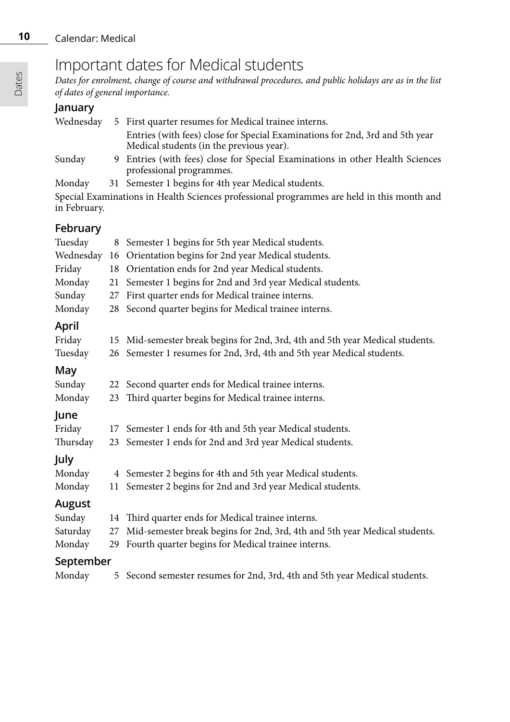### Important dates for Medical students

*Dates for enrolment, change of course and withdrawal procedures, and public holidays are as in the list of dates of general importance.*

### **January**

| Wednesdav    | 5 First quarter resumes for Medical trainee interns.                                                                     |
|--------------|--------------------------------------------------------------------------------------------------------------------------|
|              | Entries (with fees) close for Special Examinations for 2nd, 3rd and 5th year<br>Medical students (in the previous year). |
| Sunday       | 9 Entries (with fees) close for Special Examinations in other Health Sciences<br>professional programmes.                |
| Monday       | 31 Semester 1 begins for 4th year Medical students.                                                                      |
| in February. | Special Examinations in Health Sciences professional programmes are held in this month and                               |

**February**

| i cui uui y |    |                                                                               |
|-------------|----|-------------------------------------------------------------------------------|
| Tuesday     |    | 8 Semester 1 begins for 5th year Medical students.                            |
| Wednesday   | 16 | Orientation begins for 2nd year Medical students.                             |
| Friday      | 18 | Orientation ends for 2nd year Medical students.                               |
| Monday      | 21 | Semester 1 begins for 2nd and 3rd year Medical students.                      |
| Sunday      | 27 | First quarter ends for Medical trainee interns.                               |
| Monday      | 28 | Second quarter begins for Medical trainee interns.                            |
| April       |    |                                                                               |
| Friday      |    | 15 Mid-semester break begins for 2nd, 3rd, 4th and 5th year Medical students. |
| Tuesday     |    | 26 Semester 1 resumes for 2nd, 3rd, 4th and 5th year Medical students.        |
| May         |    |                                                                               |
| Sunday      | 22 | Second quarter ends for Medical trainee interns.                              |
| Monday      | 23 | Third quarter begins for Medical trainee interns.                             |
| June        |    |                                                                               |
| Friday      | 17 | Semester 1 ends for 4th and 5th year Medical students.                        |
| Thursday    |    | 23 Semester 1 ends for 2nd and 3rd year Medical students.                     |
| July        |    |                                                                               |
| Monday      |    | 4 Semester 2 begins for 4th and 5th year Medical students.                    |
| Monday      |    | 11 Semester 2 begins for 2nd and 3rd year Medical students.                   |
| August      |    |                                                                               |
| Sunday      | 14 | Third quarter ends for Medical trainee interns.                               |
| Saturday    | 27 | Mid-semester break begins for 2nd, 3rd, 4th and 5th year Medical students.    |
| Monday      |    | 29 Fourth quarter begins for Medical trainee interns.                         |
| September   |    |                                                                               |
| Monday      | 5  | Second semester resumes for 2nd, 3rd, 4th and 5th year Medical students.      |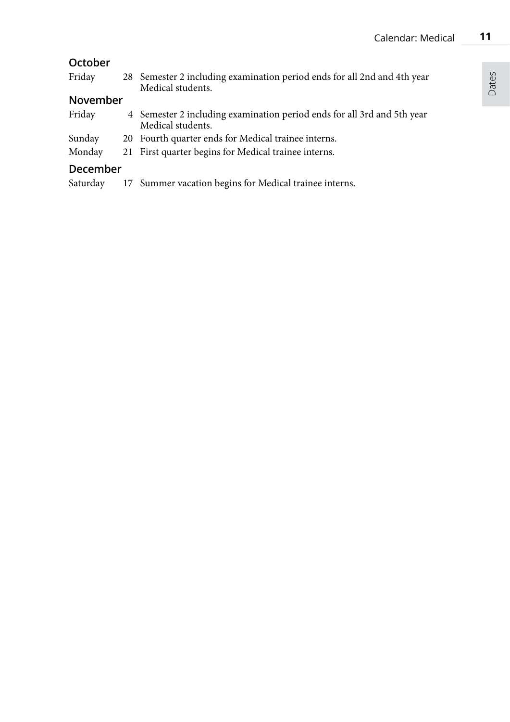Dates

### **October**

| Friday   | 28 Semester 2 including examination period ends for all 2nd and 4th year<br>Medical students. |
|----------|-----------------------------------------------------------------------------------------------|
| November |                                                                                               |

#### Friday 4 Semester 2 including examination period ends for all 3rd and 5th year Medical students.

- Sunday 20 Fourth quarter ends for Medical trainee interns.
- Monday 21 First quarter begins for Medical trainee interns.

### **December**

Saturday 17 Summer vacation begins for Medical trainee interns.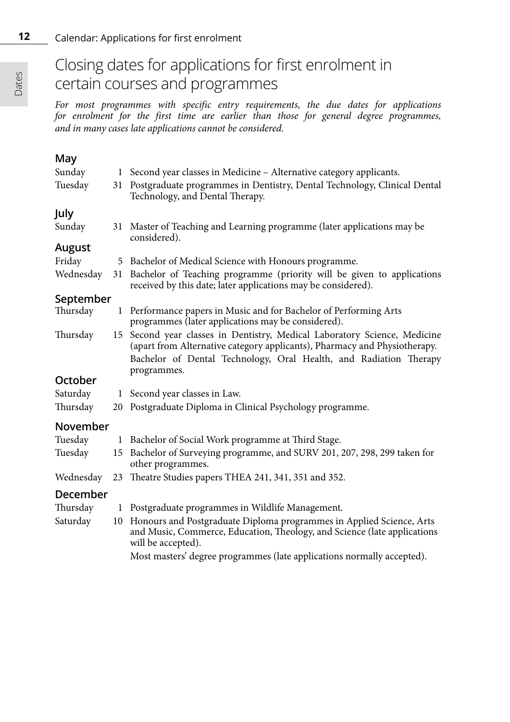**12**

### Closing dates for applications for first enrolment in certain courses and programmes

*For most programmes with specific entry requirements, the due dates for applications for enrolment for the first time are earlier than those for general degree programmes, and in many cases late applications cannot be considered.*

### **May**

| Sunday    |    | 1 Second year classes in Medicine - Alternative category applicants.                                                                                                      |
|-----------|----|---------------------------------------------------------------------------------------------------------------------------------------------------------------------------|
| Tuesday   | 31 | Postgraduate programmes in Dentistry, Dental Technology, Clinical Dental<br>Technology, and Dental Therapy.                                                               |
| July      |    |                                                                                                                                                                           |
| Sunday    |    | 31 Master of Teaching and Learning programme (later applications may be<br>considered).                                                                                   |
| August    |    |                                                                                                                                                                           |
| Friday    |    | 5 Bachelor of Medical Science with Honours programme.                                                                                                                     |
| Wednesday |    | 31 Bachelor of Teaching programme (priority will be given to applications<br>received by this date; later applications may be considered).                                |
| September |    |                                                                                                                                                                           |
| Thursday  |    | 1 Performance papers in Music and for Bachelor of Performing Arts<br>programmes (later applications may be considered).                                                   |
| Thursday  |    | 15 Second year classes in Dentistry, Medical Laboratory Science, Medicine<br>(apart from Alternative category applicants), Pharmacy and Physiotherapy.                    |
|           |    | Bachelor of Dental Technology, Oral Health, and Radiation Therapy<br>programmes.                                                                                          |
| October   |    |                                                                                                                                                                           |
| Saturday  |    | 1 Second year classes in Law.                                                                                                                                             |
| Thursday  |    | 20 Postgraduate Diploma in Clinical Psychology programme.                                                                                                                 |
| November  |    |                                                                                                                                                                           |
| Tuesday   |    | 1 Bachelor of Social Work programme at Third Stage.                                                                                                                       |
| Tuesday   |    | 15 Bachelor of Surveying programme, and SURV 201, 207, 298, 299 taken for<br>other programmes.                                                                            |
| Wednesday | 23 | Theatre Studies papers THEA 241, 341, 351 and 352.                                                                                                                        |
| December  |    |                                                                                                                                                                           |
| Thursday  |    | 1 Postgraduate programmes in Wildlife Management.                                                                                                                         |
| Saturday  |    | 10 Honours and Postgraduate Diploma programmes in Applied Science, Arts<br>and Music, Commerce, Education, Theology, and Science (late applications<br>will be accepted). |
|           |    | Most masters' degree programmes (late applications normally accepted).                                                                                                    |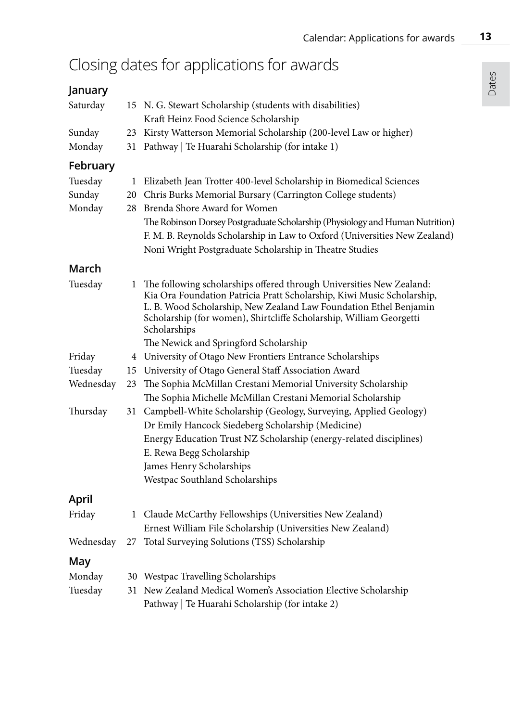# Closing dates for applications for awards

### **January**

| Saturday  |    | 15 N. G. Stewart Scholarship (students with disabilities)<br>Kraft Heinz Food Science Scholarship                                                                                                                                                                                                            |
|-----------|----|--------------------------------------------------------------------------------------------------------------------------------------------------------------------------------------------------------------------------------------------------------------------------------------------------------------|
| Sunday    |    | 23 Kirsty Watterson Memorial Scholarship (200-level Law or higher)                                                                                                                                                                                                                                           |
| Monday    |    | 31 Pathway   Te Huarahi Scholarship (for intake 1)                                                                                                                                                                                                                                                           |
| February  |    |                                                                                                                                                                                                                                                                                                              |
| Tuesday   |    | 1 Elizabeth Jean Trotter 400-level Scholarship in Biomedical Sciences                                                                                                                                                                                                                                        |
| Sunday    |    | 20 Chris Burks Memorial Bursary (Carrington College students)                                                                                                                                                                                                                                                |
| Monday    |    | 28 Brenda Shore Award for Women                                                                                                                                                                                                                                                                              |
|           |    | The Robinson Dorsey Postgraduate Scholarship (Physiology and Human Nutrition)                                                                                                                                                                                                                                |
|           |    | F. M. B. Reynolds Scholarship in Law to Oxford (Universities New Zealand)                                                                                                                                                                                                                                    |
|           |    | Noni Wright Postgraduate Scholarship in Theatre Studies                                                                                                                                                                                                                                                      |
| March     |    |                                                                                                                                                                                                                                                                                                              |
| Tuesday   |    | 1 The following scholarships offered through Universities New Zealand:<br>Kia Ora Foundation Patricia Pratt Scholarship, Kiwi Music Scholarship,<br>L. B. Wood Scholarship, New Zealand Law Foundation Ethel Benjamin<br>Scholarship (for women), Shirtcliffe Scholarship, William Georgetti<br>Scholarships |
|           |    | The Newick and Springford Scholarship                                                                                                                                                                                                                                                                        |
| Friday    |    | 4 University of Otago New Frontiers Entrance Scholarships                                                                                                                                                                                                                                                    |
| Tuesday   |    | 15 University of Otago General Staff Association Award                                                                                                                                                                                                                                                       |
| Wednesday | 23 | The Sophia McMillan Crestani Memorial University Scholarship                                                                                                                                                                                                                                                 |
|           |    | The Sophia Michelle McMillan Crestani Memorial Scholarship                                                                                                                                                                                                                                                   |
| Thursday  | 31 | Campbell-White Scholarship (Geology, Surveying, Applied Geology)<br>Dr Emily Hancock Siedeberg Scholarship (Medicine)                                                                                                                                                                                        |
|           |    | Energy Education Trust NZ Scholarship (energy-related disciplines)                                                                                                                                                                                                                                           |
|           |    | E. Rewa Begg Scholarship                                                                                                                                                                                                                                                                                     |
|           |    | James Henry Scholarships                                                                                                                                                                                                                                                                                     |
|           |    | Westpac Southland Scholarships                                                                                                                                                                                                                                                                               |
| April     |    |                                                                                                                                                                                                                                                                                                              |
| Friday    |    | 1 Claude McCarthy Fellowships (Universities New Zealand)                                                                                                                                                                                                                                                     |
|           |    | Ernest William File Scholarship (Universities New Zealand)                                                                                                                                                                                                                                                   |
| Wednesday | 27 | Total Surveying Solutions (TSS) Scholarship                                                                                                                                                                                                                                                                  |
| May       |    |                                                                                                                                                                                                                                                                                                              |
| Monday    |    | 30 Westpac Travelling Scholarships                                                                                                                                                                                                                                                                           |
| Tuesday   |    | 31 New Zealand Medical Women's Association Elective Scholarship<br>Pathway   Te Huarahi Scholarship (for intake 2)                                                                                                                                                                                           |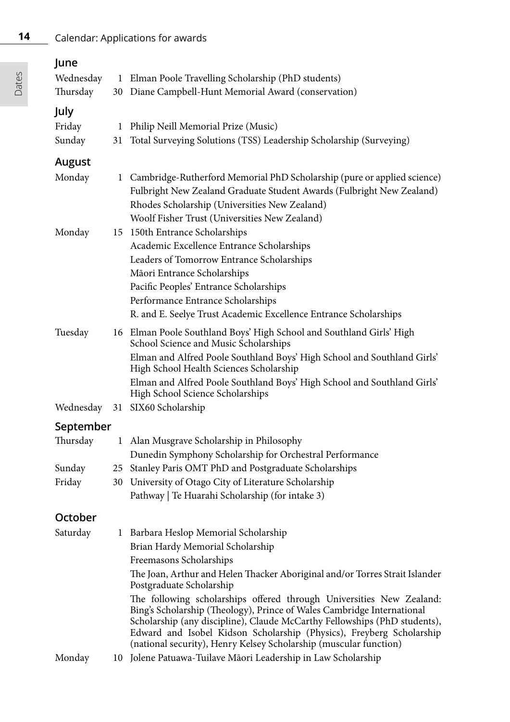### **14** Calendar: Applications for awards

| June<br>Wednesday<br>Thursday |         | 1 Elman Poole Travelling Scholarship (PhD students)<br>30 Diane Campbell-Hunt Memorial Award (conservation)                                                                                                                                                                                                                                                              |
|-------------------------------|---------|--------------------------------------------------------------------------------------------------------------------------------------------------------------------------------------------------------------------------------------------------------------------------------------------------------------------------------------------------------------------------|
| July<br>Friday<br>Sunday      | 1<br>31 | Philip Neill Memorial Prize (Music)<br>Total Surveying Solutions (TSS) Leadership Scholarship (Surveying)                                                                                                                                                                                                                                                                |
| August<br>Monday              |         | 1 Cambridge-Rutherford Memorial PhD Scholarship (pure or applied science)<br>Fulbright New Zealand Graduate Student Awards (Fulbright New Zealand)                                                                                                                                                                                                                       |
| Monday                        |         | Rhodes Scholarship (Universities New Zealand)<br>Woolf Fisher Trust (Universities New Zealand)<br>15 150th Entrance Scholarships<br>Academic Excellence Entrance Scholarships                                                                                                                                                                                            |
|                               |         | Leaders of Tomorrow Entrance Scholarships<br>Māori Entrance Scholarships<br>Pacific Peoples' Entrance Scholarships<br>Performance Entrance Scholarships                                                                                                                                                                                                                  |
|                               |         | R. and E. Seelye Trust Academic Excellence Entrance Scholarships                                                                                                                                                                                                                                                                                                         |
| Tuesday                       |         | 16 Elman Poole Southland Boys' High School and Southland Girls' High<br>School Science and Music Scholarships<br>Elman and Alfred Poole Southland Boys' High School and Southland Girls'                                                                                                                                                                                 |
|                               |         | High School Health Sciences Scholarship<br>Elman and Alfred Poole Southland Boys' High School and Southland Girls'<br>High School Science Scholarships                                                                                                                                                                                                                   |
| Wednesday                     |         | 31 SIX60 Scholarship                                                                                                                                                                                                                                                                                                                                                     |
| September                     |         |                                                                                                                                                                                                                                                                                                                                                                          |
| Thursday                      | 1       | Alan Musgrave Scholarship in Philosophy                                                                                                                                                                                                                                                                                                                                  |
| Sunday                        |         | Dunedin Symphony Scholarship for Orchestral Performance<br>25 Stanley Paris OMT PhD and Postgraduate Scholarships                                                                                                                                                                                                                                                        |
| Friday                        |         | 30 University of Otago City of Literature Scholarship                                                                                                                                                                                                                                                                                                                    |
|                               |         | Pathway   Te Huarahi Scholarship (for intake 3)                                                                                                                                                                                                                                                                                                                          |
| October                       |         |                                                                                                                                                                                                                                                                                                                                                                          |
| Saturday                      |         | 1 Barbara Heslop Memorial Scholarship                                                                                                                                                                                                                                                                                                                                    |
|                               |         | Brian Hardy Memorial Scholarship                                                                                                                                                                                                                                                                                                                                         |
|                               |         | Freemasons Scholarships                                                                                                                                                                                                                                                                                                                                                  |
|                               |         | The Joan, Arthur and Helen Thacker Aboriginal and/or Torres Strait Islander<br>Postgraduate Scholarship                                                                                                                                                                                                                                                                  |
|                               |         | The following scholarships offered through Universities New Zealand:<br>Bing's Scholarship (Theology), Prince of Wales Cambridge International<br>Scholarship (any discipline), Claude McCarthy Fellowships (PhD students),<br>Edward and Isobel Kidson Scholarship (Physics), Freyberg Scholarship<br>(national security), Henry Kelsey Scholarship (muscular function) |
| Monday                        |         | 10 Jolene Patuawa-Tuilave Māori Leadership in Law Scholarship                                                                                                                                                                                                                                                                                                            |

Dates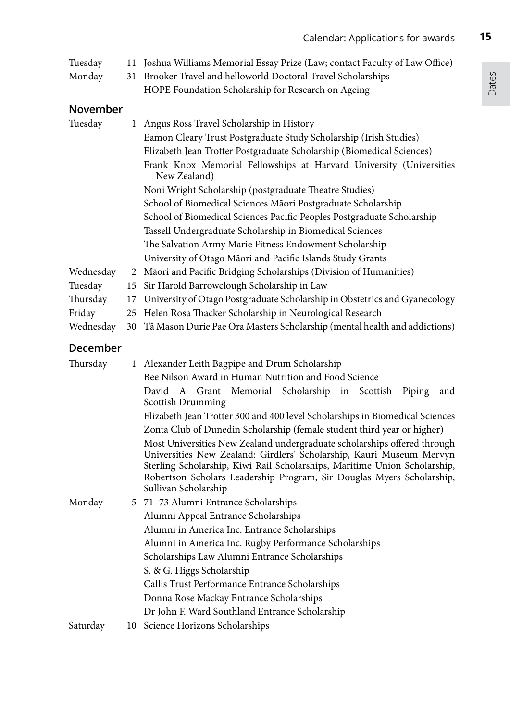| Tuesday<br>Monday                                       | 11<br>31             | Joshua Williams Memorial Essay Prize (Law; contact Faculty of Law Office)<br>Brooker Travel and helloworld Doctoral Travel Scholarships<br>HOPE Foundation Scholarship for Research on Ageing                                                                                                                                                                                                                                                                                                                                                                                                                                                                                                         |  |  |  |  |
|---------------------------------------------------------|----------------------|-------------------------------------------------------------------------------------------------------------------------------------------------------------------------------------------------------------------------------------------------------------------------------------------------------------------------------------------------------------------------------------------------------------------------------------------------------------------------------------------------------------------------------------------------------------------------------------------------------------------------------------------------------------------------------------------------------|--|--|--|--|
| November<br>Tuesday                                     |                      | 1 Angus Ross Travel Scholarship in History<br>Eamon Cleary Trust Postgraduate Study Scholarship (Irish Studies)<br>Elizabeth Jean Trotter Postgraduate Scholarship (Biomedical Sciences)<br>Frank Knox Memorial Fellowships at Harvard University (Universities<br>New Zealand)<br>Noni Wright Scholarship (postgraduate Theatre Studies)<br>School of Biomedical Sciences Māori Postgraduate Scholarship<br>School of Biomedical Sciences Pacific Peoples Postgraduate Scholarship<br>Tassell Undergraduate Scholarship in Biomedical Sciences<br>The Salvation Army Marie Fitness Endowment Scholarship<br>University of Otago Māori and Pacific Islands Study Grants                               |  |  |  |  |
| Wednesday<br>Tuesday<br>Thursday<br>Friday<br>Wednesday | 15<br>17<br>25<br>30 | 2 Māori and Pacific Bridging Scholarships (Division of Humanities)<br>Sir Harold Barrowclough Scholarship in Law<br>University of Otago Postgraduate Scholarship in Obstetrics and Gyanecology<br>Helen Rosa Thacker Scholarship in Neurological Research<br>Tā Mason Durie Pae Ora Masters Scholarship (mental health and addictions)                                                                                                                                                                                                                                                                                                                                                                |  |  |  |  |
| December                                                |                      |                                                                                                                                                                                                                                                                                                                                                                                                                                                                                                                                                                                                                                                                                                       |  |  |  |  |
| Thursday                                                | 1                    | Alexander Leith Bagpipe and Drum Scholarship<br>Bee Nilson Award in Human Nutrition and Food Science<br>David A Grant<br>Memorial<br>Scholarship<br>Scottish<br>Piping<br>in<br>and<br>Scottish Drumming<br>Elizabeth Jean Trotter 300 and 400 level Scholarships in Biomedical Sciences<br>Zonta Club of Dunedin Scholarship (female student third year or higher)<br>Most Universities New Zealand undergraduate scholarships offered through<br>Universities New Zealand: Girdlers' Scholarship, Kauri Museum Mervyn<br>Sterling Scholarship, Kiwi Rail Scholarships, Maritime Union Scholarship,<br>Robertson Scholars Leadership Program, Sir Douglas Myers Scholarship,<br>Sullivan Scholarship |  |  |  |  |
| Monday                                                  |                      | 5 71–73 Alumni Entrance Scholarships<br>Alumni Appeal Entrance Scholarships<br>Alumni in America Inc. Entrance Scholarships<br>Alumni in America Inc. Rugby Performance Scholarships<br>Scholarships Law Alumni Entrance Scholarships<br>S. & G. Higgs Scholarship<br>Callis Trust Performance Entrance Scholarships<br>Donna Rose Mackay Entrance Scholarships<br>Dr John F. Ward Southland Entrance Scholarship                                                                                                                                                                                                                                                                                     |  |  |  |  |
| Saturday                                                |                      | 10 Science Horizons Scholarships                                                                                                                                                                                                                                                                                                                                                                                                                                                                                                                                                                                                                                                                      |  |  |  |  |